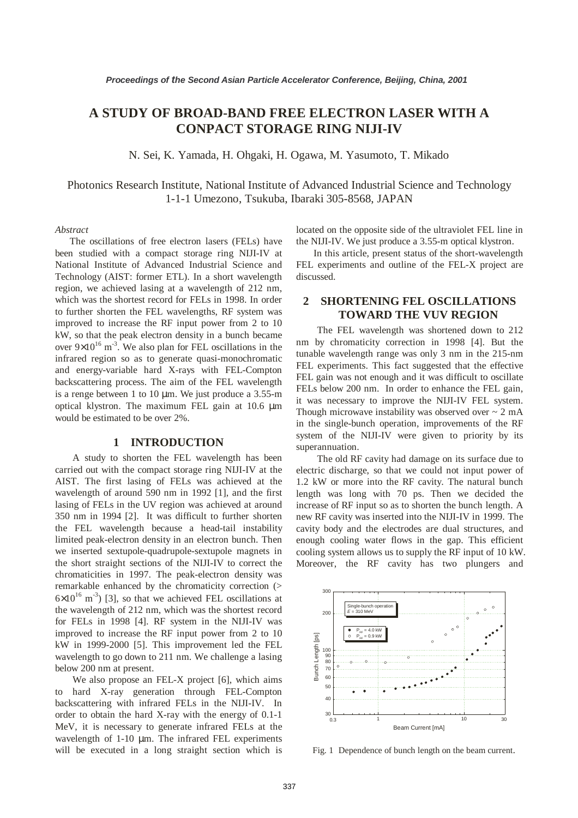# **A STUDY OF BROAD-BAND FREE ELECTRON LASER WITH A CONPACT STORAGE RING NIJI-IV**

N. Sei, K. Yamada, H. Ohgaki, H. Ogawa, M. Yasumoto, T. Mikado

Photonics Research Institute, National Institute of Advanced Industrial Science and Technology 1-1-1 Umezono, Tsukuba, Ibaraki 305-8568, JAPAN

#### *Abstract*

The oscillations of free electron lasers (FELs) have been studied with a compact storage ring NIJI-IV at National Institute of Advanced Industrial Science and Technology (AIST: former ETL). In a short wavelength region, we achieved lasing at a wavelength of 212 nm, which was the shortest record for FELs in 1998. In order to further shorten the FEL wavelengths, RF system was improved to increase the RF input power from 2 to 10 kW, so that the peak electron density in a bunch became over  $9\times10^{16}$  m<sup>-3</sup>. We also plan for FEL oscillations in the infrared region so as to generate quasi-monochromatic and energy-variable hard X-rays with FEL-Compton backscattering process. The aim of the FEL wavelength is a renge between 1 to 10  $\mu$ m. We just produce a 3.55-m optical klystron. The maximum FEL gain at 10.6 µm would be estimated to be over 2%.

### **1 INTRODUCTION**

A study to shorten the FEL wavelength has been carried out with the compact storage ring NIJI-IV at the AIST. The first lasing of FELs was achieved at the wavelength of around 590 nm in 1992 [1], and the first lasing of FELs in the UV region was achieved at around 350 nm in 1994 [2]. It was difficult to further shorten the FEL wavelength because a head-tail instability limited peak-electron density in an electron bunch. Then we inserted sextupole-quadrupole-sextupole magnets in the short straight sections of the NIJI-IV to correct the chromaticities in 1997. The peak-electron density was remarkable enhanced by the chromaticity correction (>  $6\times10^{16}$  m<sup>-3</sup>) [3], so that we achieved FEL oscillations at the wavelength of 212 nm, which was the shortest record for FELs in 1998 [4]. RF system in the NIJI-IV was improved to increase the RF input power from 2 to 10 kW in 1999-2000 [5]. This improvement led the FEL wavelength to go down to 211 nm. We challenge a lasing below 200 nm at present.

We also propose an FEL-X project [6], which aims to hard X-ray generation through FEL-Compton backscattering with infrared FELs in the NIJI-IV. In order to obtain the hard X-ray with the energy of 0.1-1 MeV, it is necessary to generate infrared FELs at the wavelength of 1-10  $\mu$ m. The infrared FEL experiments will be executed in a long straight section which is located on the opposite side of the ultraviolet FEL line in the NIJI-IV. We just produce a 3.55-m optical klystron.

In this article, present status of the short-wavelength FEL experiments and outline of the FEL-X project are discussed.

# **2 SHORTENING FEL OSCILLATIONS TOWARD THE VUV REGION**

The FEL wavelength was shortened down to 212 nm by chromaticity correction in 1998 [4]. But the tunable wavelength range was only 3 nm in the 215-nm FEL experiments. This fact suggested that the effective FEL gain was not enough and it was difficult to oscillate FELs below 200 nm. In order to enhance the FEL gain, it was necessary to improve the NIJI-IV FEL system. Though microwave instability was observed over  $\sim 2$  mA in the single-bunch operation, improvements of the RF system of the NIJI-IV were given to priority by its superannuation.

The old RF cavity had damage on its surface due to electric discharge, so that we could not input power of 1.2 kW or more into the RF cavity. The natural bunch length was long with 70 ps. Then we decided the increase of RF input so as to shorten the bunch length. A new RF cavity was inserted into the NIJI-IV in 1999. The cavity body and the electrodes are dual structures, and enough cooling water flows in the gap. This efficient cooling system allows us to supply the RF input of 10 kW. Moreover, the RF cavity has two plungers and



Fig. 1 Dependence of bunch length on the beam current.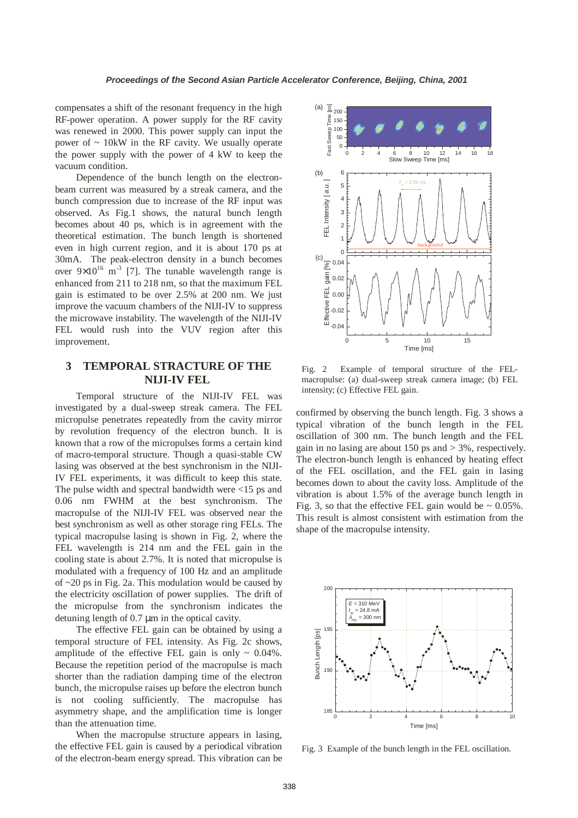compensates a shift of the resonant frequency in the high RF-power operation. A power supply for the RF cavity was renewed in 2000. This power supply can input the power of  $\sim 10$ kW in the RF cavity. We usually operate the power supply with the power of 4 kW to keep the vacuum condition.

Dependence of the bunch length on the electronbeam current was measured by a streak camera, and the bunch compression due to increase of the RF input was observed. As Fig.1 shows, the natural bunch length becomes about 40 ps, which is in agreement with the theoretical estimation. The bunch length is shortened even in high current region, and it is about 170 ps at 30mA. The peak-electron density in a bunch becomes over  $9\times10^{16}$  m<sup>-3</sup> [7]. The tunable wavelength range is enhanced from 211 to 218 nm, so that the maximum FEL gain is estimated to be over 2.5% at 200 nm. We just improve the vacuum chambers of the NIJI-IV to suppress the microwave instability. The wavelength of the NIJI-IV FEL would rush into the VUV region after this improvement.

# **3 TEMPORAL STRACTURE OF THE NIJI-IV FEL**

Temporal structure of the NIJI-IV FEL was investigated by a dual-sweep streak camera. The FEL micropulse penetrates repeatedly from the cavity mirror by revolution frequency of the electron bunch. It is known that a row of the micropulses forms a certain kind of macro-temporal structure. Though a quasi-stable CW lasing was observed at the best synchronism in the NIJI-IV FEL experiments, it was difficult to keep this state. The pulse width and spectral bandwidth were <15 ps and 0.06 nm FWHM at the best synchronism. The macropulse of the NIJI-IV FEL was observed near the best synchronism as well as other storage ring FELs. The typical macropulse lasing is shown in Fig. 2, where the FEL wavelength is 214 nm and the FEL gain in the cooling state is about 2.7%. It is noted that micropulse is modulated with a frequency of 100 Hz and an amplitude of ~20 ps in Fig. 2a. This modulation would be caused by the electricity oscillation of power supplies. The drift of the micropulse from the synchronism indicates the detuning length of 0.7 µm in the optical cavity.

The effective FEL gain can be obtained by using a temporal structure of FEL intensity. As Fig. 2c shows, amplitude of the effective FEL gain is only  $\sim 0.04\%$ . Because the repetition period of the macropulse is mach shorter than the radiation damping time of the electron bunch, the micropulse raises up before the electron bunch is not cooling sufficiently. The macropulse has asymmetry shape, and the amplification time is longer than the attenuation time.

When the macropulse structure appears in lasing, the effective FEL gain is caused by a periodical vibration of the electron-beam energy spread. This vibration can be



Fig. 2 Example of temporal structure of the FELmacropulse: (a) dual-sweep streak camera image; (b) FEL intensity; (c) Effective FEL gain.

confirmed by observing the bunch length. Fig. 3 shows a typical vibration of the bunch length in the FEL oscillation of 300 nm. The bunch length and the FEL gain in no lasing are about 150 ps and  $>$  3%, respectively. The electron-bunch length is enhanced by heating effect of the FEL oscillation, and the FEL gain in lasing becomes down to about the cavity loss. Amplitude of the vibration is about 1.5% of the average bunch length in Fig. 3, so that the effective FEL gain would be  $\sim 0.05\%$ . This result is almost consistent with estimation from the shape of the macropulse intensity.



Fig. 3 Example of the bunch length in the FEL oscillation.